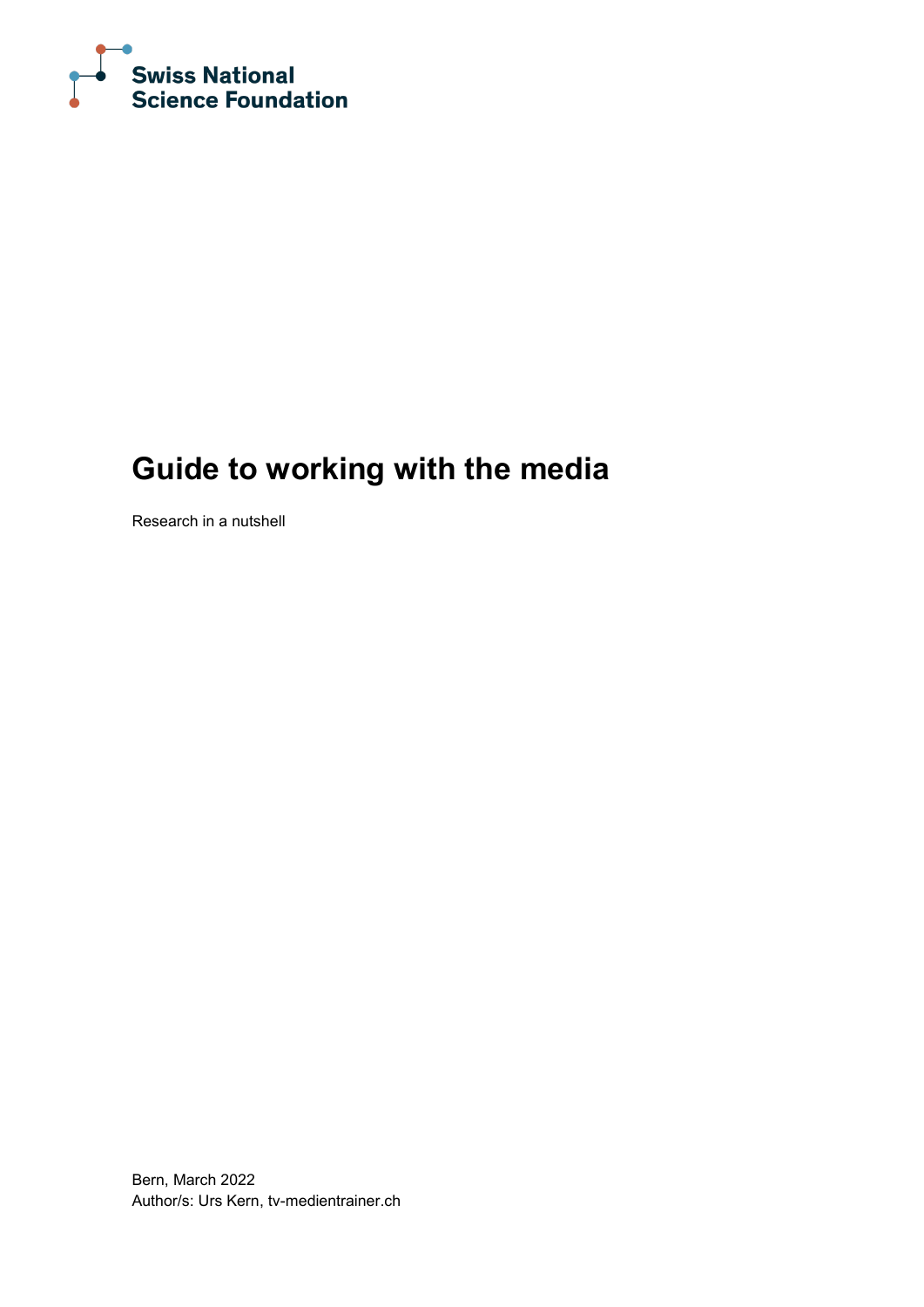

# **Guide to working with the media**

Research in a nutshell

Bern, March 2022 Author/s: Urs Kern, tv-medientrainer.ch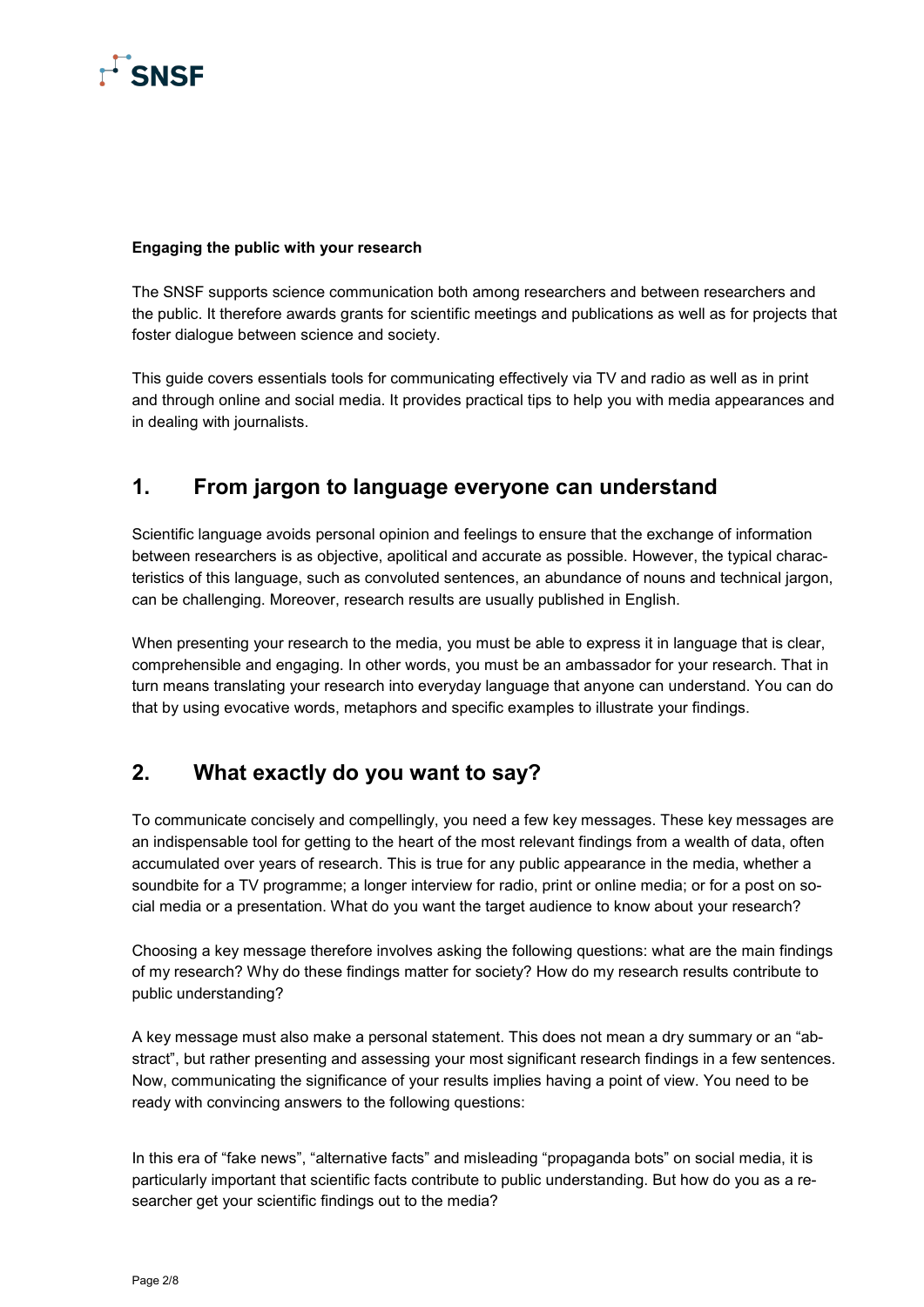

#### **Engaging the public with your research**

The SNSF supports science communication both among researchers and between researchers and the public. It therefore awards grants for scientific meetings and publications as well as for projects that foster dialogue between science and society.

This guide covers essentials tools for communicating effectively via TV and radio as well as in print and through online and social media. It provides practical tips to help you with media appearances and in dealing with journalists.

### **1. From jargon to language everyone can understand**

Scientific language avoids personal opinion and feelings to ensure that the exchange of information between researchers is as objective, apolitical and accurate as possible. However, the typical characteristics of this language, such as convoluted sentences, an abundance of nouns and technical jargon, can be challenging. Moreover, research results are usually published in English.

When presenting your research to the media, you must be able to express it in language that is clear, comprehensible and engaging. In other words, you must be an ambassador for your research. That in turn means translating your research into everyday language that anyone can understand. You can do that by using evocative words, metaphors and specific examples to illustrate your findings.

### **2. What exactly do you want to say?**

To communicate concisely and compellingly, you need a few key messages. These key messages are an indispensable tool for getting to the heart of the most relevant findings from a wealth of data, often accumulated over years of research. This is true for any public appearance in the media, whether a soundbite for a TV programme; a longer interview for radio, print or online media; or for a post on social media or a presentation. What do you want the target audience to know about your research?

Choosing a key message therefore involves asking the following questions: what are the main findings of my research? Why do these findings matter for society? How do my research results contribute to public understanding?

A key message must also make a personal statement. This does not mean a dry summary or an "abstract", but rather presenting and assessing your most significant research findings in a few sentences. Now, communicating the significance of your results implies having a point of view. You need to be ready with convincing answers to the following questions:

In this era of "fake news", "alternative facts" and misleading "propaganda bots" on social media, it is particularly important that scientific facts contribute to public understanding. But how do you as a researcher get your scientific findings out to the media?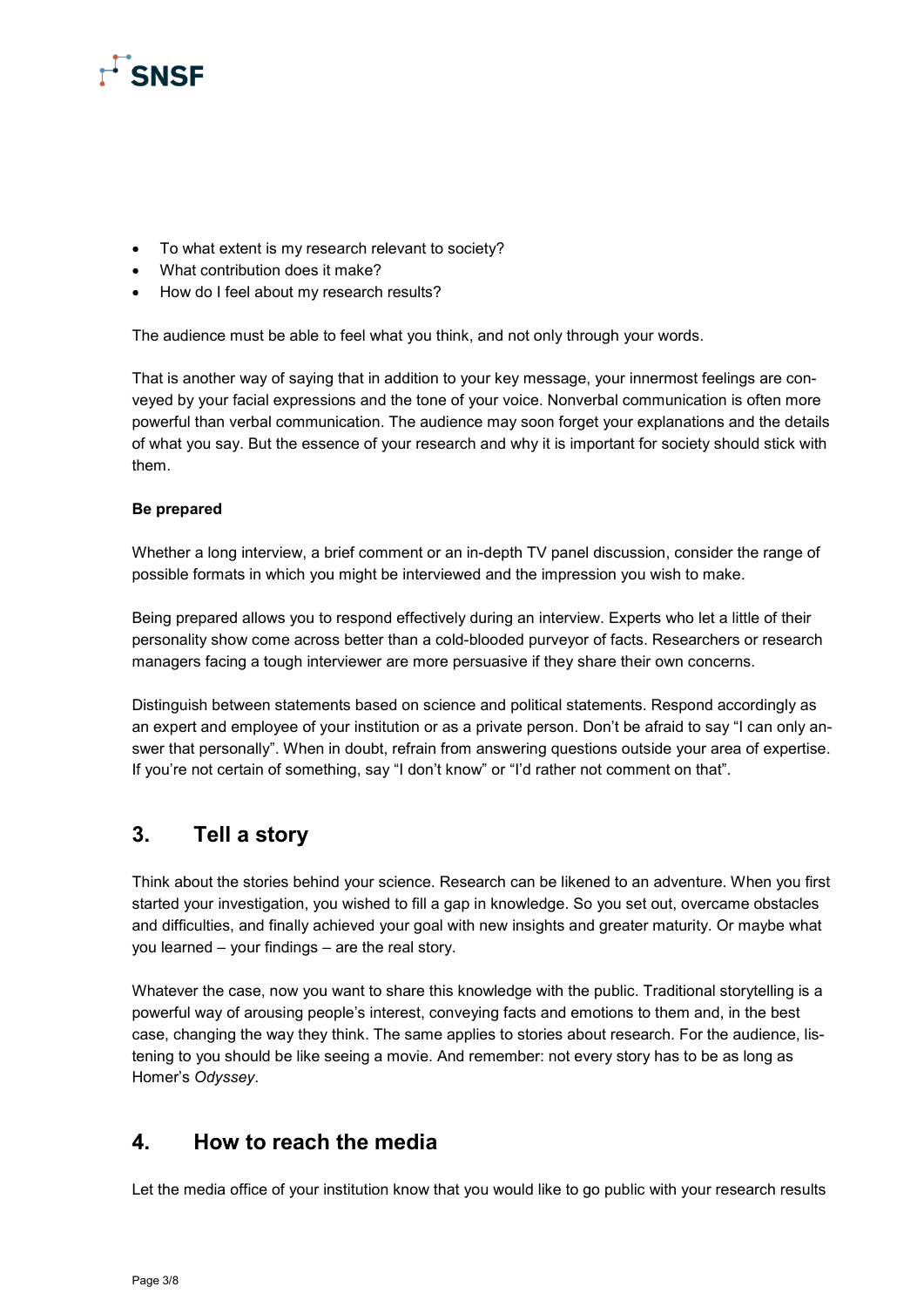

- To what extent is my research relevant to society?
- What contribution does it make?
- How do I feel about my research results?

The audience must be able to feel what you think, and not only through your words.

That is another way of saying that in addition to your key message, your innermost feelings are conveyed by your facial expressions and the tone of your voice. Nonverbal communication is often more powerful than verbal communication. The audience may soon forget your explanations and the details of what you say. But the essence of your research and why it is important for society should stick with them.

#### **Be prepared**

Whether a long interview, a brief comment or an in-depth TV panel discussion, consider the range of possible formats in which you might be interviewed and the impression you wish to make.

Being prepared allows you to respond effectively during an interview. Experts who let a little of their personality show come across better than a cold-blooded purveyor of facts. Researchers or research managers facing a tough interviewer are more persuasive if they share their own concerns.

Distinguish between statements based on science and political statements. Respond accordingly as an expert and employee of your institution or as a private person. Don't be afraid to say "I can only answer that personally". When in doubt, refrain from answering questions outside your area of expertise. If you're not certain of something, say "I don't know" or "I'd rather not comment on that".

### **3. Tell a story**

Think about the stories behind your science. Research can be likened to an adventure. When you first started your investigation, you wished to fill a gap in knowledge. So you set out, overcame obstacles and difficulties, and finally achieved your goal with new insights and greater maturity. Or maybe what you learned – your findings – are the real story.

Whatever the case, now you want to share this knowledge with the public. Traditional storytelling is a powerful way of arousing people's interest, conveying facts and emotions to them and, in the best case, changing the way they think. The same applies to stories about research. For the audience, listening to you should be like seeing a movie. And remember: not every story has to be as long as Homer's *Odyssey*.

### **4. How to reach the media**

Let the media office of your institution know that you would like to go public with your research results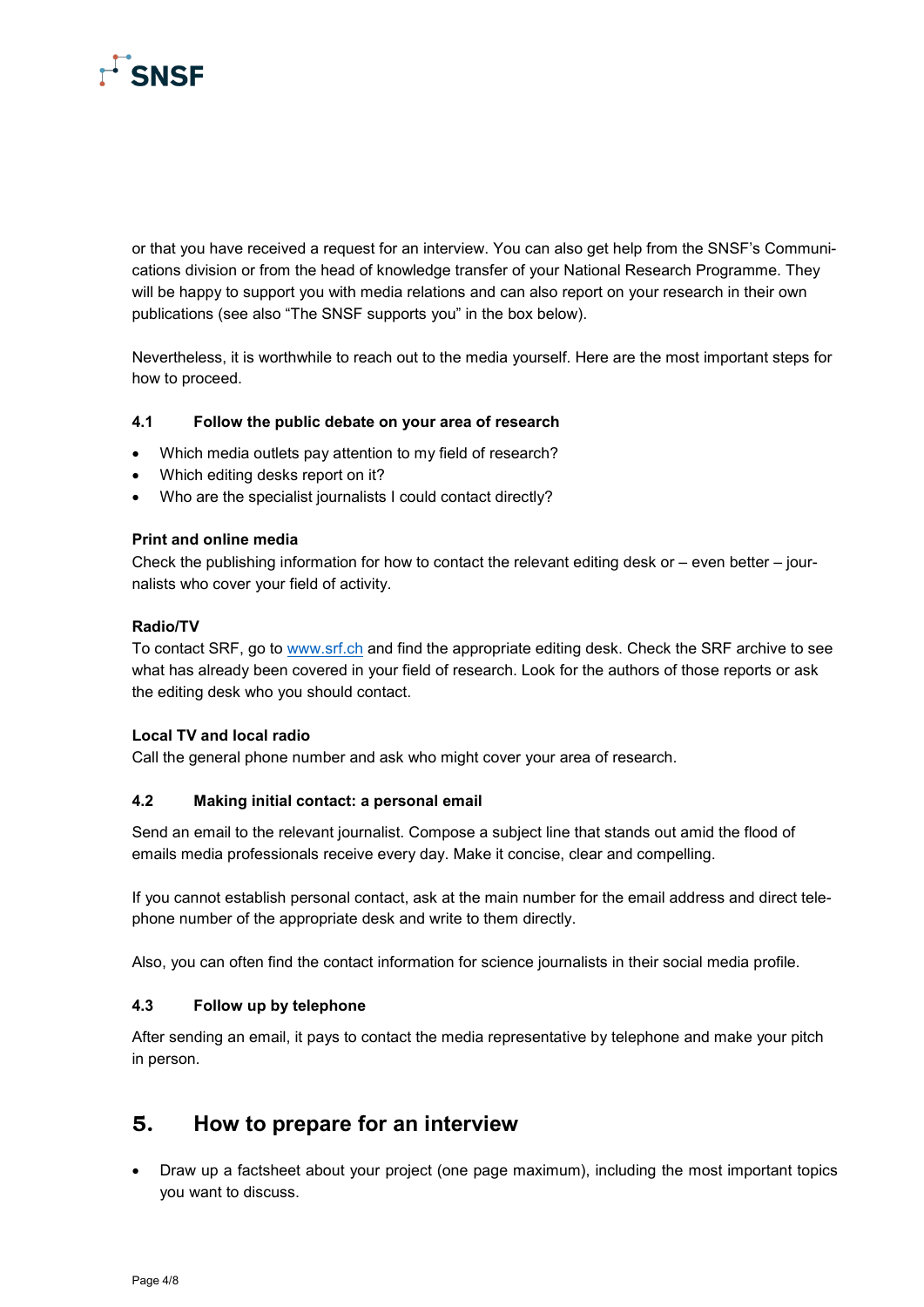

or that you have received a request for an interview. You can also get help from the SNSF's Communications division or from the head of knowledge transfer of your National Research Programme. They will be happy to support you with media relations and can also report on your research in their own publications (see also "The SNSF supports you" in the box below).

Nevertheless, it is worthwhile to reach out to the media yourself. Here are the most important steps for how to proceed.

#### **4.1 Follow the public debate on your area of research**

- Which media outlets pay attention to my field of research?
- Which editing desks report on it?
- Who are the specialist journalists I could contact directly?

#### **Print and online media**

Check the publishing information for how to contact the relevant editing desk or  $-$  even better  $-$  journalists who cover your field of activity.

#### **Radio/TV**

To contact SRF, go to [www.srf.ch](http://www.srf.ch/) and find the appropriate editing desk. Check the SRF archive to see what has already been covered in your field of research. Look for the authors of those reports or ask the editing desk who you should contact.

#### **Local TV and local radio**

Call the general phone number and ask who might cover your area of research.

#### **4.2 Making initial contact: a personal email**

Send an email to the relevant journalist. Compose a subject line that stands out amid the flood of emails media professionals receive every day. Make it concise, clear and compelling.

If you cannot establish personal contact, ask at the main number for the email address and direct telephone number of the appropriate desk and write to them directly.

Also, you can often find the contact information for science journalists in their social media profile.

#### **4.3 Follow up by telephone**

After sending an email, it pays to contact the media representative by telephone and make your pitch in person.

### **5. How to prepare for an interview**

• Draw up a factsheet about your project (one page maximum), including the most important topics you want to discuss.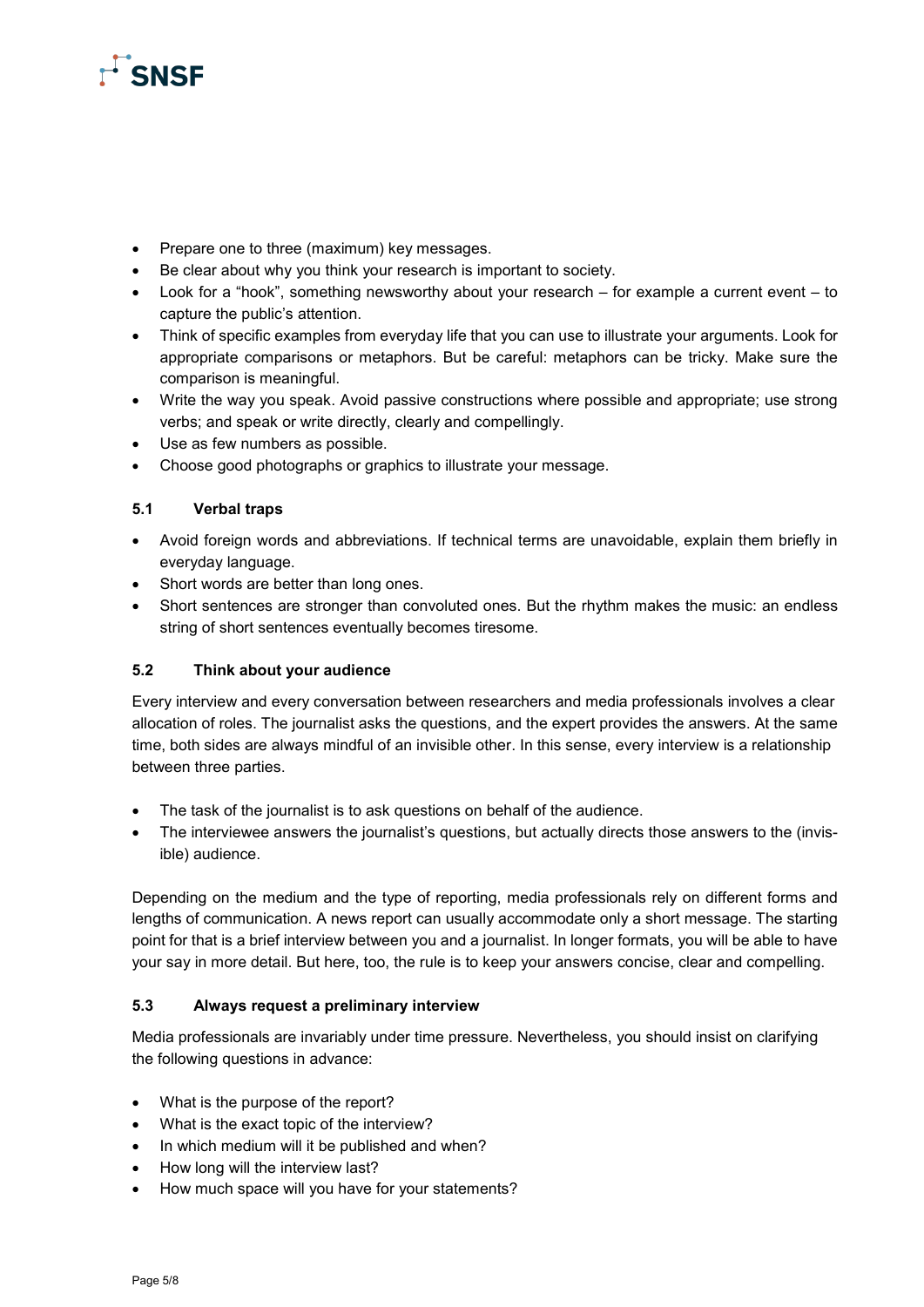

- Prepare one to three (maximum) key messages.
- Be clear about why you think your research is important to society.
- Look for a "hook", something newsworthy about your research for example a current event to capture the public's attention.
- Think of specific examples from everyday life that you can use to illustrate your arguments. Look for appropriate comparisons or metaphors. But be careful: metaphors can be tricky. Make sure the comparison is meaningful.
- Write the way you speak. Avoid passive constructions where possible and appropriate; use strong verbs; and speak or write directly, clearly and compellingly.
- Use as few numbers as possible.
- Choose good photographs or graphics to illustrate your message.

#### **5.1 Verbal traps**

- Avoid foreign words and abbreviations. If technical terms are unavoidable, explain them briefly in everyday language.
- Short words are better than long ones.
- Short sentences are stronger than convoluted ones. But the rhythm makes the music: an endless string of short sentences eventually becomes tiresome.

#### **5.2 Think about your audience**

Every interview and every conversation between researchers and media professionals involves a clear allocation of roles. The journalist asks the questions, and the expert provides the answers. At the same time, both sides are always mindful of an invisible other. In this sense, every interview is a relationship between three parties.

- The task of the journalist is to ask questions on behalf of the audience.
- The interviewee answers the journalist's questions, but actually directs those answers to the (invisible) audience.

Depending on the medium and the type of reporting, media professionals rely on different forms and lengths of communication. A news report can usually accommodate only a short message. The starting point for that is a brief interview between you and a journalist. In longer formats, you will be able to have your say in more detail. But here, too, the rule is to keep your answers concise, clear and compelling.

#### **5.3 Always request a preliminary interview**

Media professionals are invariably under time pressure. Nevertheless, you should insist on clarifying the following questions in advance:

- What is the purpose of the report?
- What is the exact topic of the interview?
- In which medium will it be published and when?
- How long will the interview last?
- How much space will you have for your statements?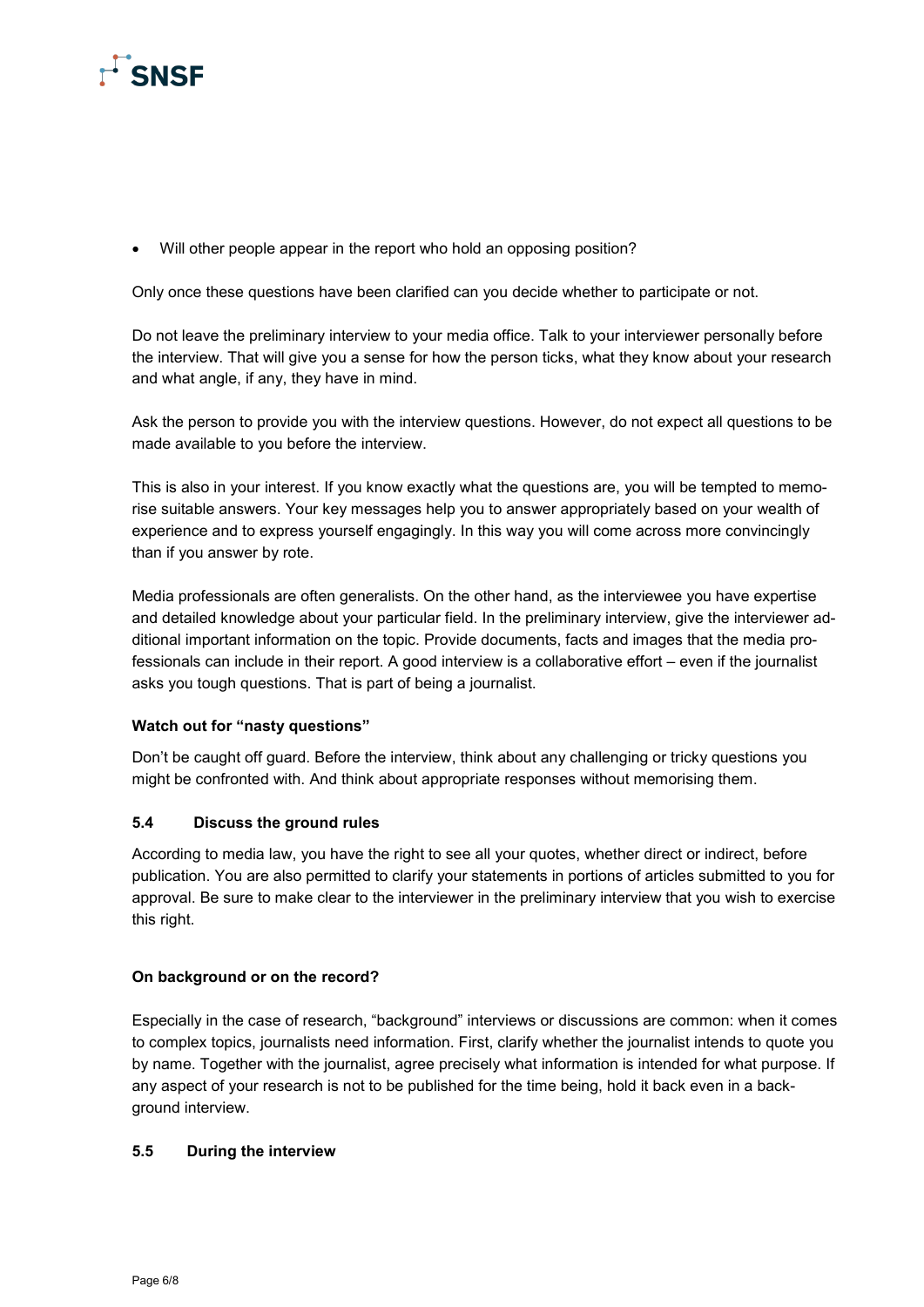

• Will other people appear in the report who hold an opposing position?

Only once these questions have been clarified can you decide whether to participate or not.

Do not leave the preliminary interview to your media office. Talk to your interviewer personally before the interview. That will give you a sense for how the person ticks, what they know about your research and what angle, if any, they have in mind.

Ask the person to provide you with the interview questions. However, do not expect all questions to be made available to you before the interview.

This is also in your interest. If you know exactly what the questions are, you will be tempted to memorise suitable answers. Your key messages help you to answer appropriately based on your wealth of experience and to express yourself engagingly. In this way you will come across more convincingly than if you answer by rote.

Media professionals are often generalists. On the other hand, as the interviewee you have expertise and detailed knowledge about your particular field. In the preliminary interview, give the interviewer additional important information on the topic. Provide documents, facts and images that the media professionals can include in their report. A good interview is a collaborative effort – even if the journalist asks you tough questions. That is part of being a journalist.

#### **Watch out for "nasty questions"**

Don't be caught off guard. Before the interview, think about any challenging or tricky questions you might be confronted with. And think about appropriate responses without memorising them.

#### **5.4 Discuss the ground rules**

According to media law, you have the right to see all your quotes, whether direct or indirect, before publication. You are also permitted to clarify your statements in portions of articles submitted to you for approval. Be sure to make clear to the interviewer in the preliminary interview that you wish to exercise this right.

#### **On background or on the record?**

Especially in the case of research, "background" interviews or discussions are common: when it comes to complex topics, journalists need information. First, clarify whether the journalist intends to quote you by name. Together with the journalist, agree precisely what information is intended for what purpose. If any aspect of your research is not to be published for the time being, hold it back even in a background interview.

#### **5.5 During the interview**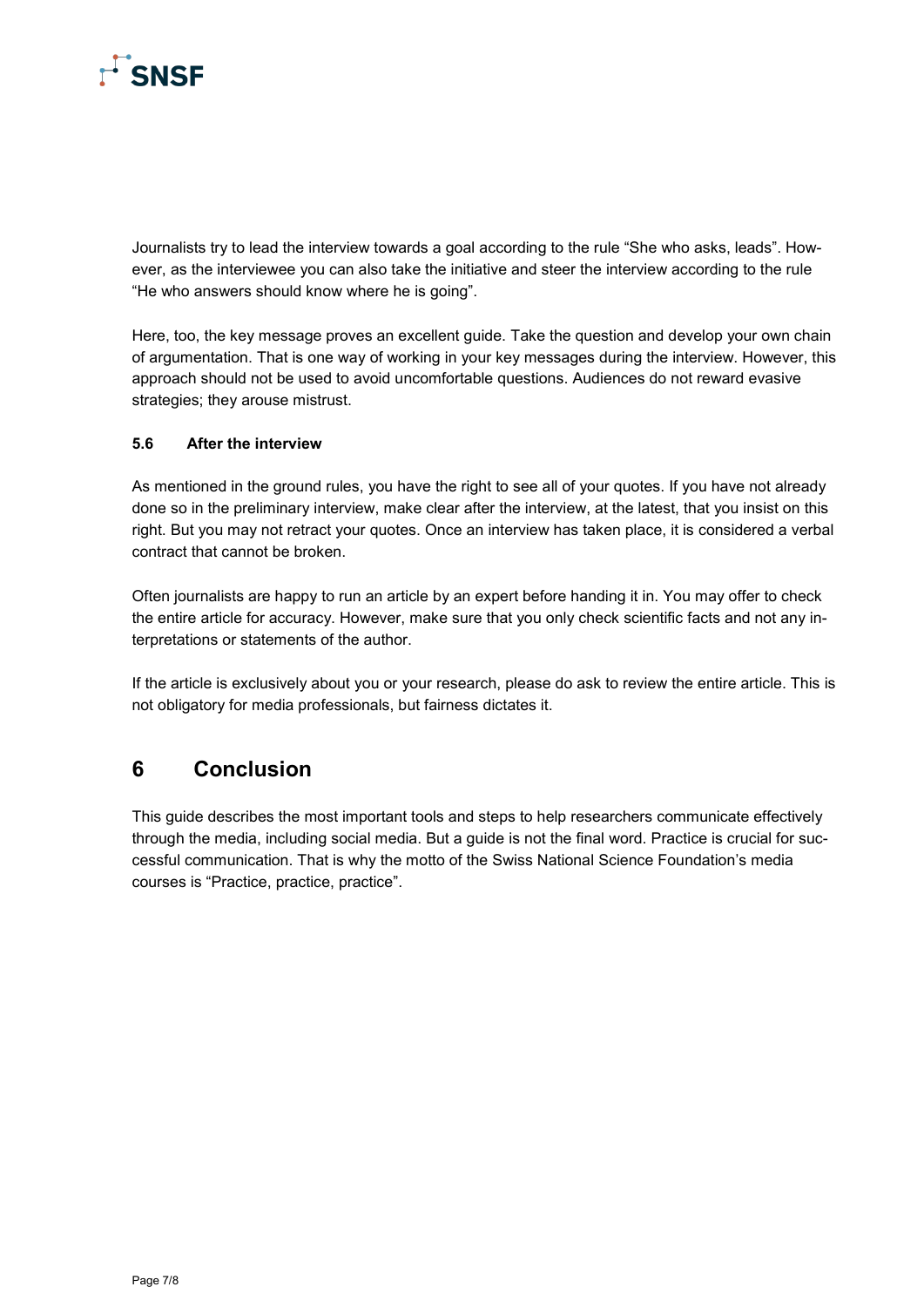

Journalists try to lead the interview towards a goal according to the rule "She who asks, leads". However, as the interviewee you can also take the initiative and steer the interview according to the rule "He who answers should know where he is going".

Here, too, the key message proves an excellent guide. Take the question and develop your own chain of argumentation. That is one way of working in your key messages during the interview. However, this approach should not be used to avoid uncomfortable questions. Audiences do not reward evasive strategies; they arouse mistrust.

#### **5.6 After the interview**

As mentioned in the ground rules, you have the right to see all of your quotes. If you have not already done so in the preliminary interview, make clear after the interview, at the latest, that you insist on this right. But you may not retract your quotes. Once an interview has taken place, it is considered a verbal contract that cannot be broken.

Often journalists are happy to run an article by an expert before handing it in. You may offer to check the entire article for accuracy. However, make sure that you only check scientific facts and not any interpretations or statements of the author.

If the article is exclusively about you or your research, please do ask to review the entire article. This is not obligatory for media professionals, but fairness dictates it.

## **6 Conclusion**

This guide describes the most important tools and steps to help researchers communicate effectively through the media, including social media. But a guide is not the final word. Practice is crucial for successful communication. That is why the motto of the Swiss National Science Foundation's media courses is "Practice, practice, practice".